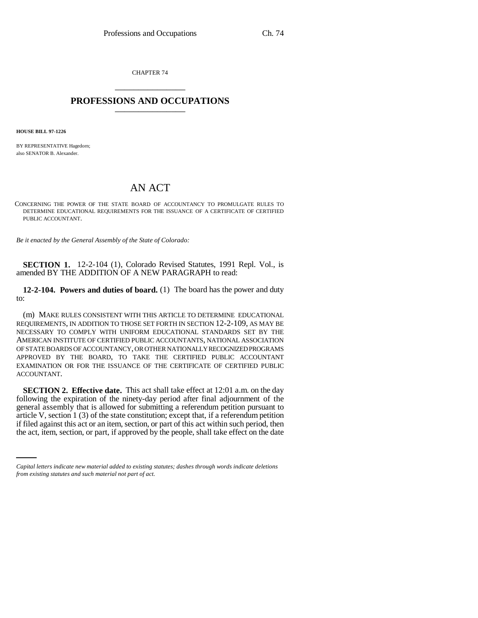CHAPTER 74 \_\_\_\_\_\_\_\_\_\_\_\_\_\_\_

## **PROFESSIONS AND OCCUPATIONS** \_\_\_\_\_\_\_\_\_\_\_\_\_\_\_

**HOUSE BILL 97-1226**

BY REPRESENTATIVE Hagedorn; also SENATOR B. Alexander.

## AN ACT

CONCERNING THE POWER OF THE STATE BOARD OF ACCOUNTANCY TO PROMULGATE RULES TO DETERMINE EDUCATIONAL REQUIREMENTS FOR THE ISSUANCE OF A CERTIFICATE OF CERTIFIED PUBLIC ACCOUNTANT.

*Be it enacted by the General Assembly of the State of Colorado:*

**SECTION 1.** 12-2-104 (1), Colorado Revised Statutes, 1991 Repl. Vol., is amended BY THE ADDITION OF A NEW PARAGRAPH to read:

**12-2-104. Powers and duties of board.** (1) The board has the power and duty to:

(m) MAKE RULES CONSISTENT WITH THIS ARTICLE TO DETERMINE EDUCATIONAL REQUIREMENTS, IN ADDITION TO THOSE SET FORTH IN SECTION 12-2-109, AS MAY BE NECESSARY TO COMPLY WITH UNIFORM EDUCATIONAL STANDARDS SET BY THE AMERICAN INSTITUTE OF CERTIFIED PUBLIC ACCOUNTANTS, NATIONAL ASSOCIATION OF STATE BOARDS OF ACCOUNTANCY, OR OTHER NATIONALLY RECOGNIZED PROGRAMS APPROVED BY THE BOARD, TO TAKE THE CERTIFIED PUBLIC ACCOUNTANT EXAMINATION OR FOR THE ISSUANCE OF THE CERTIFICATE OF CERTIFIED PUBLIC ACCOUNTANT.

article V, section 1 (3) of the state constitution; except that, if a referendum petition **SECTION 2. Effective date.** This act shall take effect at 12:01 a.m. on the day following the expiration of the ninety-day period after final adjournment of the general assembly that is allowed for submitting a referendum petition pursuant to if filed against this act or an item, section, or part of this act within such period, then the act, item, section, or part, if approved by the people, shall take effect on the date

*Capital letters indicate new material added to existing statutes; dashes through words indicate deletions from existing statutes and such material not part of act.*